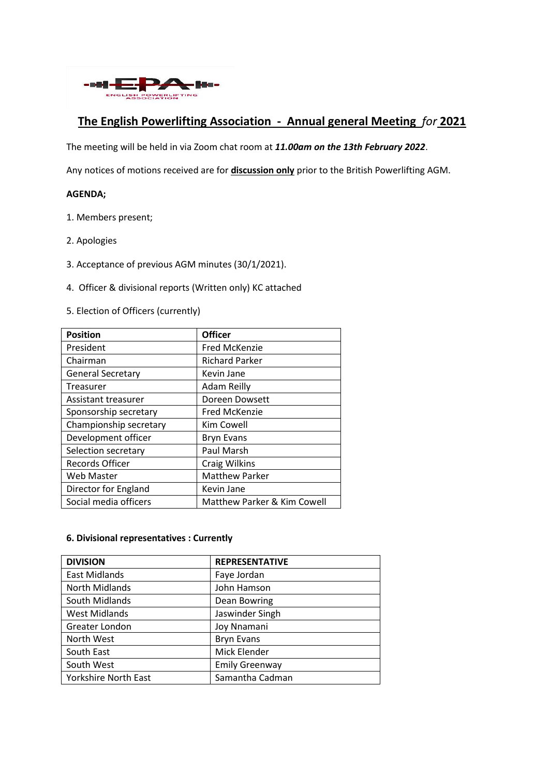

## **The English Powerlifting Association - Annual general Meeting** *for* **2021**

The meeting will be held in via Zoom chat room at *11.00am on the 13th February 2022*.

Any notices of motions received are for **discussion only** prior to the British Powerlifting AGM.

## **AGENDA;**

- 1. Members present;
- 2. Apologies
- 3. Acceptance of previous AGM minutes (30/1/2021).
- 4. Officer & divisional reports (Written only) KC attached
- 5. Election of Officers (currently)

| <b>Position</b>          | <b>Officer</b>              |
|--------------------------|-----------------------------|
| President                | <b>Fred McKenzie</b>        |
| Chairman                 | <b>Richard Parker</b>       |
| <b>General Secretary</b> | Kevin Jane                  |
| Treasurer                | <b>Adam Reilly</b>          |
| Assistant treasurer      | Doreen Dowsett              |
| Sponsorship secretary    | <b>Fred McKenzie</b>        |
| Championship secretary   | Kim Cowell                  |
| Development officer      | <b>Bryn Evans</b>           |
| Selection secretary      | Paul Marsh                  |
| <b>Records Officer</b>   | <b>Craig Wilkins</b>        |
| <b>Web Master</b>        | <b>Matthew Parker</b>       |
| Director for England     | Kevin Jane                  |
| Social media officers    | Matthew Parker & Kim Cowell |

## **6. Divisional representatives : Currently**

| <b>DIVISION</b>      | <b>REPRESENTATIVE</b> |
|----------------------|-----------------------|
| East Midlands        | Faye Jordan           |
| North Midlands       | John Hamson           |
| South Midlands       | Dean Bowring          |
| <b>West Midlands</b> | Jaswinder Singh       |
| Greater London       | Joy Nnamani           |
| North West           | <b>Bryn Evans</b>     |
| South East           | Mick Elender          |
| South West           | <b>Emily Greenway</b> |
| Yorkshire North East | Samantha Cadman       |